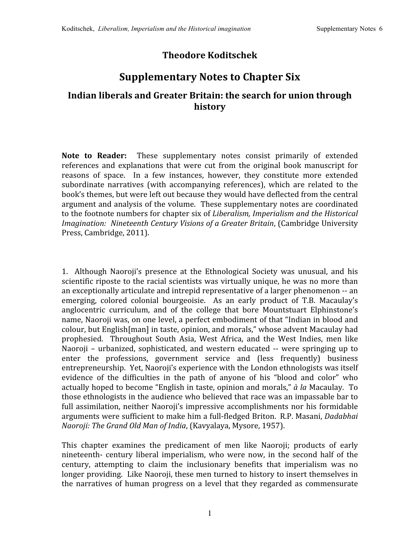## **Theodore Koditschek**

## **Supplementary Notes to Chapter Six**

## **Indian liberals and Greater Britain: the search for union through history**

Note to Reader: These supplementary notes consist primarily of extended references and explanations that were cut from the original book manuscript for reasons of space. In a few instances, however, they constitute more extended subordinate narratives (with accompanying references), which are related to the book's
themes,
but
were
left
out
because
they
would
have
deflected
from
the
central argument
and
analysis
of
the
volume. These
supplementary
notes
are
coordinated to
the
footnote
numbers
for
chapter
six
of *Liberalism,
Imperialism
and
the
Historical Imagination: Nineteenth
Century
Visions
of
a
Greater
Britain*,
(Cambridge University Press,
Cambridge,
2011).

1. Although Naoroji's presence at the Ethnological Society was unusual, and his scientific riposte to the racial scientists was virtually unique, he was no more than an exceptionally articulate and intrepid representative of a larger phenomenon -- an emerging, colored colonial bourgeoisie. As an early product of T.B. Macaulay's anglocentric curriculum, and of the college that bore Mountstuart Elphinstone's name, Naoroji was, on one level, a perfect embodiment of that "Indian in blood and colour, but English[man] in taste, opinion, and morals," whose advent Macaulay had prophesied. Throughout South Asia, West Africa, and the West Indies, men like Naoroji – urbanized, sophisticated, and western educated -- were springing up to enter the professions, government service and (less frequently) business entrepreneurship. Yet, Naoroji's experience with the London ethnologists was itself evidence of the difficulties in the path of anyone of his "blood and color" who actually hoped
to
become
"English
in
taste,
opinion
and
morals," *à la* Macaulay. To those
ethnologists
in
the
audience
who
believed
that
race
was
an
impassable
bar
to full assimilation, neither Naoroji's impressive accomplishments nor his formidable arguments
were sufficient
to
make
him
a
full‐fledged
Briton. R.P.
Masani, *Dadabhai Naoroji:
The
Grand
Old
Man
of
India*,
(Kavyalaya,
Mysore,
1957).

This chapter examines the predicament of men like Naoroji; products of early nineteenth- century liberal imperialism, who were now, in the second half of the century, attempting to claim the inclusionary benefits that imperialism was no longer providing. Like Naoroji, these men turned to history to insert themselves in the
narratives of
human
progress
on a
level
that
they regarded as commensurate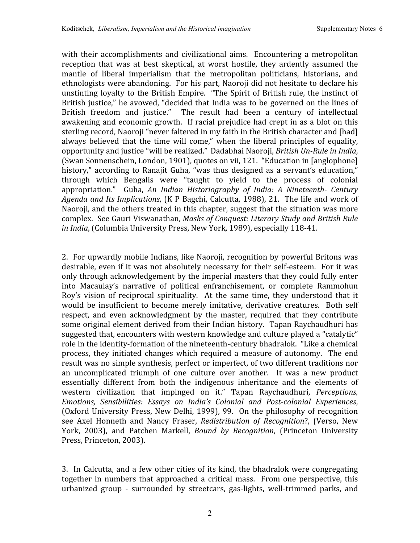with their accomplishments and civilizational aims. Encountering a metropolitan reception that was at best skeptical, at worst hostile, they ardently assumed the mantle of liberal imperialism that the metropolitan politicians, historians, and ethnologists were abandoning. For his part, Naoroji did not hesitate to declare his unstinting loyalty to the British Empire. "The Spirit of British rule, the instinct of British justice," he avowed, "decided that India was to be governed on the lines of British freedom and justice." The result had been a century of intellectual awakening and economic growth. If racial prejudice had crept in as a blot on this sterling record, Naoroji "never faltered in my faith in the British character and [had] always believed that the time will come," when the liberal principles of equality, opportunity and justice "will be realized." Dadabhai Naoroji, *British Un-Rule in India*, (Swan
Sonnenschein,
London,
1901),
quotes
on
vii,
121. "Education
in
[anglophone] history," according to Ranajit Guha, "was thus designed as a servant's education," through which Bengalis were "taught to yield to the process of colonial appropriation." Guha, *An Indian Historiography of India: A Nineteenth Century*  Agenda and Its Implications, (K P Bagchi, Calcutta, 1988), 21. The life and work of Naoroji, and the others treated in this chapter, suggest that the situation was more complex. See
Gauri
Viswanathan, *Masks
of
Conquest:
Literary
Study
and
British
Rule*  in *India*, (Columbia University Press, New York, 1989), especially 118-41.

2. For
upwardly
mobile
Indians,
like
Naoroji,
recognition
by
powerful
Britons
was desirable, even if it was not absolutely necessary for their self-esteem. For it was only
through
acknowledgement
by
the
imperial
masters
that
they
could
fully
enter into Macaulay's narrative of political enfranchisement, or complete Rammohun Roy's vision of reciprocal spirituality. At the same time, they understood that it would be insufficient to become merely imitative, derivative creatures. Both self respect, and even acknowledgment by the master, required that they contribute some
original
element
derived
from
their
Indian
history. Tapan
Raychaudhuri
has suggested that, encounters with western knowledge and culture played a "catalytic" role in the identity-formation of the nineteenth-century bhadralok. "Like a chemical process, they initiated changes which required a measure of autonomy. The end result
was
no
simple
synthesis,
perfect
or
imperfect,
of
two
different
traditions
nor an uncomplicated triumph of one culture over another. It was a new product essentially different from both the indigenous inheritance and the elements of western civilization that impinged on it." Tapan Raychaudhuri, *Perceptions*, *Emotions, Sensibilities: Essays on India's Colonial and Postcolonial Experiences*, (Oxford
University
Press,
New
Delhi,
1999),
99. On
the
philosophy
of recognition see Axel Honneth and Nancy Fraser, *Redistribution of Recognition*?, (Verso, New York, 2003), and Patchen Markell, *Bound by Recognition*, (Princeton University Press,
Princeton,
2003).

3. In
Calcutta,
and
a
few
other
cities
of
its
kind,
the
bhadralok
were
congregating together in numbers that approached a critical mass. From one perspective, this urbanized group ‐ surrounded by streetcars, gas‐lights, well‐trimmed parks, and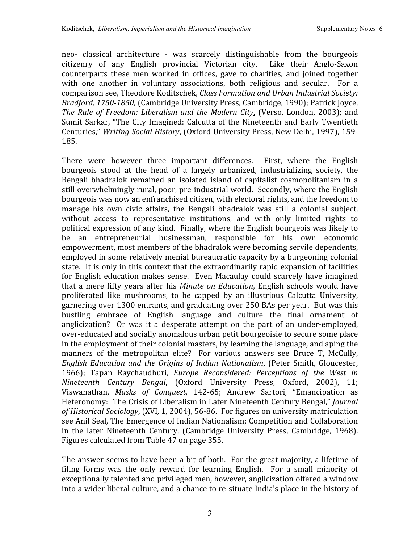neo‐ classical architecture ‐ was scarcely distinguishable from the bourgeois citizenry of any English provincial Victorian city. Like their Anglo‐Saxon counterparts these men worked in offices, gave to charities, and joined together with one another in voluntary associations, both religious and secular. For a comparison
see,
Theodore
Koditschek, *Class
Formation
and
Urban
Industrial
Society:*  Bradford, 1750-1850, (Cambridge University Press, Cambridge, 1990); Patrick Joyce, *The Rule of Freedom: Liberalism and
the
Modern City*, (Verso, London, 2003); and Sumit Sarkar,
"The
City
Imagined:
Calcutta
of
the
Nineteenth and
Early
Twentieth Centuries," *Writing
Social
History*,
(Oxford
University
Press,
New
Delhi,
1997),
159‐ 185.

There were however three important differences. First, where the English bourgeois stood at the head of a largely urbanized, industrializing society, the Bengali bhadralok remained an isolated island of capitalist cosmopolitanism in a still overwhelmingly rural, poor, pre-industrial world. Secondly, where the English bourgeois
was
now
an
enfranchised
citizen,
with
electoral
rights,
and
the
freedom
to manage his own civic affairs, the Bengali bhadralok was still a colonial subject, without access to representative institutions, and with only limited rights to political
expression
of
any
kind. Finally,
where
the
English
bourgeois
was
likely
to be an entrepreneurial businessman, responsible for his own economic empowerment,
most
members
of
the
bhadralok
were
becoming
servile
dependents, employed
in
some
relatively
menial
bureaucratic
capacity
by
a
burgeoning
colonial state. It is only in this context that the extraordinarily rapid expansion of facilities for
English education makes sense. Even Macaulay could scarcely have imagined that a mere fifty years after his *Minute on Education*, English schools would have proliferated like mushrooms, to be capped by an illustrious Calcutta University, garnering
over
1300
entrants,
and
graduating
over
250
BAs
per
year. But
was
this bustling embrace of English language and culture the final ornament of anglicization? Or was it a desperate attempt on the part of an under-employed, over‐educated
and
socially
anomalous
urban
petit
bourgeoisie
to
secure
some
place in the employment of their colonial masters, by learning the language, and aping the manners of the metropolitan elite? For various answers see Bruce T, McCully, *English Education and
the Origins of
Indian
Nationalism*,
(Peter Smith, Gloucester, 1966); Tapan Raychaudhuri, *Europe Reconsidered: Perceptions of the West in* Nineteenth Century Bengal, (Oxford University Press, Oxford, 2002), 11; Viswanathan, *Masks of Conquest*, 142‐65; Andrew Sartori, "Emancipation as Heteronomy: The Crisis of Liberalism in Later Nineteenth Century Bengal," *Journal* of Historical Sociology, (XVI, 1, 2004), 56-86. For figures on university matriculation see
Anil
Seal,
The
Emergence
of
Indian
Nationalism;
Competition
and
Collaboration in the later Nineteenth Century, (Cambridge University Press, Cambridge, 1968). Figures
calculated
from
Table
47
on
page
355.

The answer seems to have been a bit of both. For the great majority, a lifetime of filing forms was the only reward for learning English. For a small minority of exceptionally talented and privileged men, however, anglicization offered a window into a wider liberal culture, and a chance to re-situate India's place in the history of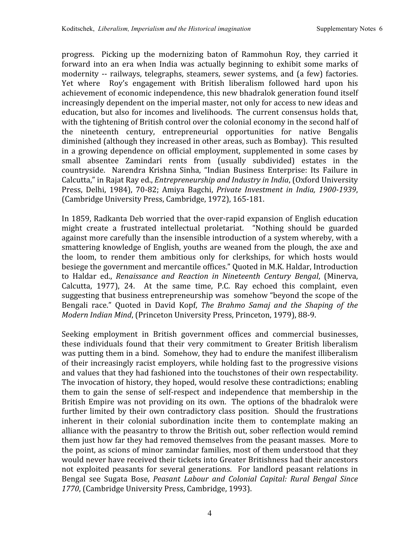progress. Picking up the modernizing baton of Rammohun Roy, they carried it forward into an era when India was actually beginning to exhibit some marks of modernity -- railways, telegraphs, steamers, sewer systems, and (a few) factories. Yet where Roy's engagement with British liberalism followed hard upon his achievement
of
economic
independence,
this
new
bhadralok
generation
found
itself increasingly dependent on the imperial master, not only for access to new ideas and education, but also for incomes and livelihoods. The current consensus holds that, with the tightening of British control over the colonial economy in the second half of the nineteenth century, entrepreneurial opportunities for native Bengalis diminished (although they increased in other areas, such as Bombay). This resulted in a growing
dependence on
official employment, supplemented
in some cases
by small absentee Zamindari rents from (usually subdivided) estates in the countryside. Narendra Krishna Sinha,
"Indian Business Enterprise: Its Failure in Calcutta," in Rajat Ray ed., *Entrepreneurship and Industry in India*, (Oxford University Press, Delhi, 1984), 70‐82; Amiya Bagchi, *Private Investment in India, 19001939*, (Cambridge
University
Press,
Cambridge,
1972),
165‐181.

In
1859,
Radkanta
Deb
worried
that
the
over‐rapid
expansion
of
English
education might create a frustrated intellectual proletariat. "Nothing should be guarded against more carefully than the insensible introduction of a system whereby, with a smattering
knowledge
of
English,
youths
are
weaned
from
the
plough,
the
axe
and the loom, to render them ambitious only for clerkships, for which hosts would besiege
the
government
and
mercantile
offices."
Quoted
in
M.K.
Haldar,
Introduction to Haldar ed., *Renaissance and Reaction in Nineteenth Century Bengal*, (Minerva, Calcutta, 1977), 24. At the same time, P.C. Ray echoed this complaint, even suggesting
that
business
entrepreneurship
was somehow
"beyond
the
scope
of
the Bengali race." Quoted in David Kopf, The Brahmo Samaj and the Shaping of the Modern Indian Mind, (Princeton University Press, Princeton, 1979), 88-9.

Seeking employment in British government offices and commercial businesses, these individuals found that their very commitment to Greater British liberalism was putting them in a bind. Somehow, they had to endure the manifest illiberalism of
their
increasingly
racist
employers,
while
holding
fast
to
the
progressive
visions and
values
that
they
had
fashioned
into
the
touchstones
of
their
own
respectability. The
invocation
of
history,
they
hoped,
would
resolve
these
contradictions;
enabling them to gain the sense of self-respect and independence that membership in the British Empire was not providing on its own. The options of the bhadralok were further limited by their own contradictory class position. Should the frustrations inherent in their colonial subordination incite them to contemplate making an alliance with the peasantry to throw the British out, sober reflection would remind them just how far they had removed themselves from the peasant masses. More to the
point,
as
scions
of
minor
zamindar
families,
most
of
them
understood
that
they would never have received their tickets into Greater Britishness had their ancestors not exploited peasants for several generations. For landlord peasant relations in Bengal see Sugata Bose, *Peasant Labour and Colonial Capital: Rural Bengal Since 1770*,
(Cambridge
University
Press,
Cambridge,
1993).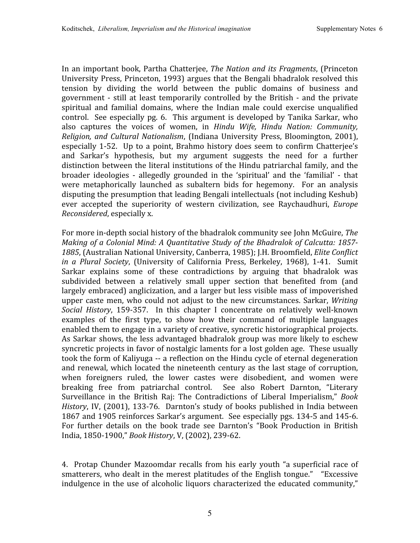In an important book, Partha Chatterjee, *The Nation and its Fragments*, (Princeton University Press, Princeton, 1993) argues that the Bengali bhadralok resolved this tension by dividing the world between the public domains of business and government
‐ still at least
temporarily controlled by
the
British
‐ and
the private spiritual and familial domains, where the Indian male could exercise unqualified control. See especially
pg.
6. This argument
is
developed
by
Tanika Sarkar,
who also captures the voices of women, in *Hindu Wife*, *Hindu Nation: Community*, Religion, and Cultural Nationalism, (Indiana University Press, Bloomington, 2001), especially 1-52. Up to a point, Brahmo history does seem to confirm Chatteriee's and Sarkar's hypothesis, but my argument suggests the need for a further distinction between the literal institutions of the Hindu patriarchal family, and the broader ideologies ‐ allegedly grounded in the 'spiritual' and the 'familial' ‐ that were metaphorically launched as subaltern bids for hegemony. For an analysis disputing the presumption that leading Bengali intellectuals (not including Keshub) ever accepted the superiority of western civilization, see Raychaudhuri, *Europe Reconsidered*,
especially
x.

For
more
in‐depth
social
history
of
the
bhadralok
community
see
John
McGuire, *The*  Making of a Colonial Mind: A Quantitative Study of the Bhadralok of Calcutta: 1857-1885, (Australian National University, Canberra, 1985); J.H. Broomfield, *Elite Conflict* in a Plural Society, (University of California Press, Berkeley, 1968), 1-41. Sumit Sarkar explains some of these contradictions by arguing that bhadralok was subdivided between a relatively small upper section that benefited from (and largely embraced) anglicization, and a larger but less visible mass of impoverished upper caste men, who could not adjust to the new circumstances. Sarkar, *Writing* Social History, 159-357. In this chapter I concentrate on relatively well-known examples of the first type, to show how their command of multiple languages enabled them to engage in a variety of creative, syncretic historiographical projects. As Sarkar shows, the less advantaged bhadralok group was more likely to eschew syncretic projects in favor of nostalgic laments for a lost golden age. These usually took
the
form
of
Kaliyuga
‐‐ a
reflection
on
the
Hindu
cycle
of
eternal
degeneration and renewal,
which
located
the
nineteenth century
as
the
last stage
of corruption, when foreigners ruled, the lower castes were disobedient, and women were breaking free from patriarchal control. See also Robert Darnton, "Literary Surveillance in the British Raj: The Contradictions of Liberal Imperialism," Book History, IV, (2001), 133-76. Darnton's study of books published in India between 1867 and 1905 reinforces Sarkar's argument. See especially pgs. 134-5 and 145-6. For further details on the book trade see Darnton's "Book Production in British India,
1850‐1900," *Book
History*,
V,
(2002),
239‐62.

4. Protap Chunder Mazoomdar recalls from his early youth "a superficial race of smatterers, who dealt in the merest platitudes of the English tongue." "Excessive indulgence in the use of alcoholic liquors characterized the educated community,"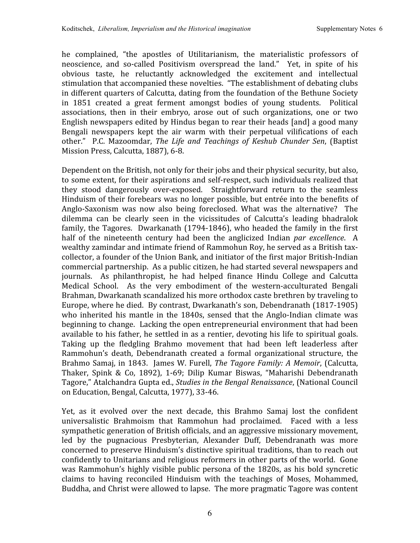he complained, "the apostles of Utilitarianism, the materialistic professors of neoscience, and so-called Positivism overspread the land." Yet, in spite of his obvious taste, he reluctantly acknowledged the excitement and intellectual stimulation that accompanied these novelties. "The establishment of debating clubs in
different
quarters
of
Calcutta,
dating
from
the
foundation
of
the
Bethune
Society in 1851 created a great ferment amongst bodies of young students. Political associations, then in their embryo, arose out of such organizations, one or two English newspapers edited by Hindus began to rear their heads [and] a good many Bengali newspapers kept the air warm with their perpetual vilifications of each other." P.C. Mazoomdar, *The Life and Teachings of Keshub Chunder Sen*,
(Baptist Mission
Press,
Calcutta,
1887),
6‐8.

Dependent on the British, not only for their jobs and their physical security, but also, to some extent, for their aspirations and self-respect, such individuals realized that they stood dangerously over‐exposed. Straightforward return to the seamless Hinduism
of
their
forebears
was
no
longer
possible,
but
entrée
into
the
benefits
of Anglo-Saxonism was now also being foreclosed. What was the alternative? The dilemma can be clearly seen in the vicissitudes of Calcutta's leading bhadralok family, the Tagores. Dwarkanath (1794-1846), who headed the family in the first half of the nineteenth century had been the anglicized Indian *par excellence*. A wealthy zamindar and intimate friend of Rammohun Roy, he served as a British taxcollector,
a
founder
of
the
Union
Bank,
and
initiator
of
the
first
major
British‐Indian commercial
partnership. As
a
public
citizen,
he
had
started
several
newspapers
and journals. As philanthropist, he had helped finance Hindu College and Calcutta Medical School. As the very embodiment of the western-acculturated Bengali Brahman,
Dwarkanath
scandalized
his
more
orthodox
caste
brethren
by
traveling
to Europe,
where
he
died. By
contrast,
Dwarkanath's
son,
Debendranath
(1817‐1905) who inherited his mantle in the 1840s, sensed that the Anglo-Indian climate was beginning to change. Lacking the open entrepreneurial environment that had been available
to
his
father,
he
settled
in
as
a
rentier,
devoting
his
life
to
spiritual
goals. Taking up the fledgling Brahmo movement that had been left leaderless after Rammohun's death, Debendranath created a formal organizational structure, the Brahmo Samaj, in 1843. James W. Furell, *The Tagore Family: A Memoir*, (Calcutta, Thaker, Spink & Co, 1892), 1‐69; Dilip Kumar Biswas, "Maharishi Debendranath Tagore," Atalchandra Gupta ed., Studies in the Bengal Renaissance, (National Council on
Education,
Bengal,
Calcutta,
1977),
33‐46.

Yet, as it evolved over the next decade, this Brahmo Samaj lost the confident universalistic Brahmoism that Rammohun had proclaimed. Faced with a less sympathetic
generation
of
British
officials,
and
an
aggressive
missionary
movement, led by the pugnacious Presbyterian, Alexander Duff, Debendranath was more concerned
to
preserve
Hinduism's
distinctive
spiritual
traditions,
than
to
reach
out confidently
to
Unitarians
and
religious
reformers
in
other
parts
of
the
world. Gone was
Rammohun's
highly
visible
public
persona
of
the
1820s,
as
his
bold syncretic claims to having reconciled Hinduism with the teachings of Moses, Mohammed, Buddha,
and
Christ
were
allowed
to
lapse. The
more
pragmatic
Tagore
was
content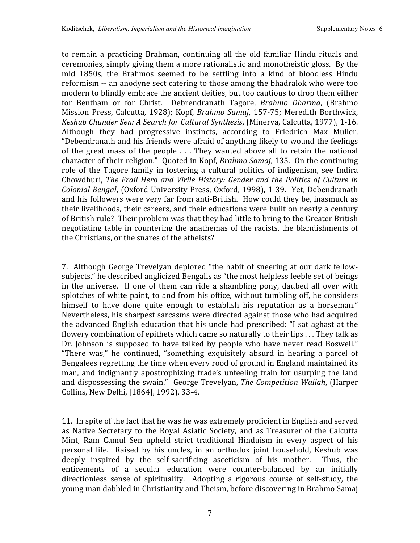to remain a practicing Brahman, continuing all the old familiar Hindu rituals and ceremonies,
simply
giving
them
a
more
rationalistic
and
monotheistic
gloss. By
the mid 1850s, the Brahmos seemed to be settling into a kind of bloodless Hindu reformism
‐‐ an
anodyne
sect
catering
to
those
among
the
bhadralok
who
were
too modern
to
blindly
embrace
the
ancient
deities,
but
too
cautious
to
drop
them
either for Bentham or for Christ. Debrendranath Tagore, Brahmo Dharma, (Brahmo Mission Press, Calcutta, 1928); Kopf, Brahmo Samaj, 157-75; Meredith Borthwick, Keshub Chunder Sen: A Search for Cultural Synthesis, (Minerva, Calcutta, 1977), 1-16. Although they had progressive instincts, according to Friedrich Max Muller, "Debendranath and his friends were afraid of anything likely to wound the feelings of the great mass of the people  $\ldots$  They wanted above all to retain the national character of their religion." Ouoted in Kopf, *Brahmo Samaj*, 135. On the continuing role of the Tagore family in fostering a cultural politics of indigenism, see Indira Chowdhuri, *The Frail
Hero and
Virile
History:
Gender and
the Politics of Culture in*  Colonial Bengal, (Oxford University Press, Oxford, 1998), 1-39. Yet, Debendranath and his followers were very far from anti-British. How could they be, inasmuch as their livelihoods, their careers, and their educations were built on nearly a century of
British
rule? Their
problem
was
that
they
had
little
to
bring
to
the
Greater
British negotiating table in countering the anathemas of the racists, the blandishments of the
Christians,
or
the
snares
of
the
atheists?

7. Although
George
Trevelyan
deplored
"the
habit
of sneering
at
our
dark
fellow‐ subjects,"
he
described
anglicized
Bengalis
as
"the
most
helpless
feeble
set
of
beings in the universe. If one of them can ride a shambling pony, daubed all over with splotches of white paint, to and from his office, without tumbling off, he considers himself to have done quite enough to establish his reputation as a horseman." Nevertheless, his sharpest sarcasms were directed against those who had acquired the advanced English education that his uncle had prescribed: "I sat aghast at the flowery combination of epithets which came so naturally to their lips . . . They talk as Dr. Johnson is supposed to have talked by people who have never read Boswell." "There was," he continued, "something exquisitely absurd in hearing a parcel of Bengalees regretting the time when every rood of ground in England maintained its man, and indignantly apostrophizing trade's unfeeling train for usurping the land and
dispossessing
the
swain." George
Trevelyan, *The
Competition
Wallah*,
(Harper Collins,
New
Delhi,
[1864],
1992),
33‐4.

11. In
spite
of
the
fact
that
he
was
he
was
extremely
proficient
in
English
and
served as Native Secretary to the Royal Asiatic Society, and as Treasurer of the Calcutta Mint, Ram Camul Sen upheld strict traditional Hinduism in every aspect of his personal life. Raised by his uncles, in an orthodox joint household, Keshub was deeply inspired by the self-sacrificing asceticism of his mother. Thus, the enticements of a secular education were counter-balanced by an initially directionless sense of spirituality. Adopting a rigorous course of self-study, the young
man
dabbled
in
Christianity
and
Theism,
before
discovering
in
Brahmo
Samaj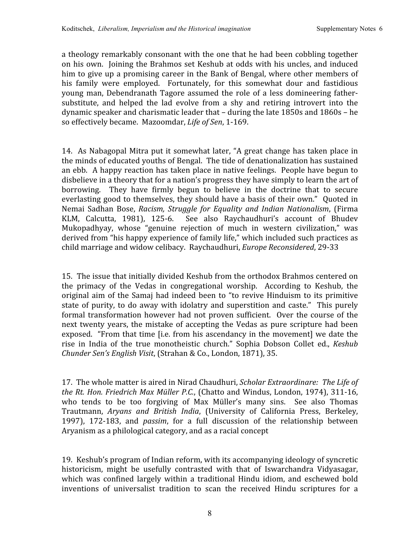a
theology
remarkably
consonant
with
the
one
that
he
had
been
cobbling
together on
his
own. Joining
the
Brahmos
set
Keshub
at
odds
with
his
uncles,
and
induced him to give up a promising career in the Bank of Bengal, where other members of his family were employed. Fortunately, for this somewhat dour and fastidious young man,
Debendranath
Tagore assumed
the role of a less domineering
father‐ substitute, and helped the lad evolve from a shy and retiring introvert into the dynamic
speaker
and
charismatic
leader
that
– during
the
late
1850s
and
1860s
– he so
effectively
became.

Mazoomdar, *Life
of
Sen*,
1‐169.

14. As Nabagopal Mitra put it somewhat later, "A great change has taken place in the
minds
of
educated
youths
of
Bengal. The
tide
of
denationalization
has
sustained an
ebb. A
happy
reaction
has
taken
place
in
native
feelings. People
have
begun
to disbelieve in a theory that for a nation's progress they have simply to learn the art of borrowing. They have firmly begun to believe in the doctrine that to secure everlasting good to themselves, they should have a basis of their own." Quoted in Nemai Sadhan Bose, Racism, Struggle for Equality and Indian Nationalism, (Firma KLM, Calcutta, 1981), 125-6. See also Raychaudhuri's account of Bhudev Mukopadhyay, whose "genuine rejection of much in western civilization," was derived from "his happy experience of family life," which included such practices as child
marriage
and
widow
celibacy.

Raychaudhuri, *Europe
Reconsidered*,
29‐33

15. The
issue
that
initially
divided
Keshub
from
the
orthodox
Brahmos
centered
on the primacy of the Vedas in congregational worship. According to Keshub, the original aim
of
the Samaj
had
indeed
been
to
"to revive
Hinduism
to
its
primitive state of purity, to do away with idolatry and superstition and caste." This purely formal transformation however had not proven sufficient. Over the course of the next
twenty
years,
the
mistake
of accepting
the
Vedas as
pure scripture
had
been exposed. "From that time [i.e. from his ascendancy in the movement] we date the rise in India of the true monotheistic church." Sophia Dobson Collet ed., *Keshub*  Chunder Sen's English Visit, (Strahan & Co., London, 1871), 35.

17. The
whole
matter
is
aired
in
Nirad
Chaudhuri, *Scholar
Extraordinare: The
Life
of the
Rt.
Hon.
Friedrich
Max
Müller
P.C.*,
(Chatto
and
Windus,
London,
1974),
311‐16, who tends to be too forgiving of Max Müller's many sins. See also Thomas Trautmann, Arvans and British India, (University of California Press, Berkeley, 1997), 172-183, and *passim*, for a full discussion of the relationship between Aryanism as a philological category, and as a racial concept

19. Keshub's
program
of
Indian
reform,
with
its
accompanying
ideology
of
syncretic historicism, might be usefully contrasted with that of Iswarchandra Vidyasagar, which was confined largely within a traditional Hindu idiom, and eschewed bold inventions of universalist tradition to scan the received Hindu scriptures for a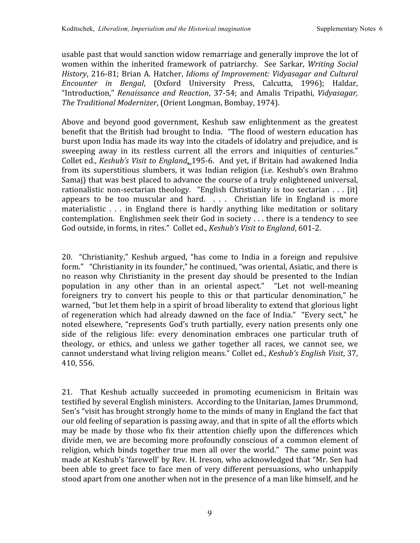usable
past
that
would
sanction
widow
remarriage
and
generally
improve
the
lot
of women within
the inherited framework of patriarchy. See Sarkar, *Writing Social*  History, 216-81; Brian A. Hatcher, *Idioms of Improvement: Vidyasagar and Cultural Encounter in Bengal*, (Oxford University Press, Calcutta, 1996); Haldar, "Introduction," *Renaissance and Reaction*, 37‐54; and Amalis Tripathi, *Vidyasagar, The
Traditional
Modernizer*,
(Orient
Longman,
Bombay,
1974).

Above and beyond good government, Keshub saw enlightenment as the greatest benefit that the British had brought to India. "The flood of western education has burst upon India has made its way into the citadels of idolatry and prejudice, and is sweeping away in its restless current all the errors and iniquities of centuries." Collet ed., *Keshub's Visit to England*, 195-6. And yet, if Britain had awakened India from its superstitious slumbers, it was Indian religion (i.e. Keshub's own Brahmo Samaj) that was best placed to advance the course of a truly enlightened universal, rationalistic non-sectarian theology. "English Christianity is too sectarian . . . [it] appears to be too muscular and hard.  $\ldots$  Christian life in England is more materialistic . . . in England there is hardly anything like meditation or solitary contemplation. Englishmen
seek
their
God
in
society
.
.
.
there is
a
tendency
to
see God outside, in forms, in rites." Collet ed., *Keshub's Visit to England*, 601-2.

20. "Christianity," Keshub argued, "has come to India in a foreign and repulsive form." "Christianity in its founder," he continued, "was oriental, Asiatic, and there is no reason why Christianity in the present day should be presented to the Indian population in any other than in an oriental aspect." "Let not well-meaning foreigners try to convert his people to this or that particular denomination," he warned, "but let them help in a spirit of broad liberality to extend that glorious light of regeneration
which
had already
dawned
on
the
face
of
India." "Every sect,"
he noted
elsewhere,
"represents
God's
truth
partially,
every
nation
presents
only
one side of the religious life: every denomination embraces one particular truth of theology, or ethics, and unless we gather together all races, we cannot see, we cannot understand what living religion means." Collet ed., Keshub's English Visit, 37, 410,
556.

21. That Keshub actually succeeded in promoting ecumenicism in Britain was testified by several English ministers. According to the Unitarian, James Drummond, Sen's "visit has brought strongly home to the minds of many in England the fact that our
old
feeling
of
separation
is
passing
away,
and
that
in
spite
of
all
the
efforts
which may be made by those who fix their attention chiefly upon the differences which divide men, we are becoming more profoundly conscious of a common element of religion, which binds together true men all over the world." The same point was made
at
Keshub's
'farewell'
by
Rev.
H.
Ireson,
who
acknowledged
that
"Mr.
Sen
had been able to greet face to face men of very different persuasions, who unhappily stood apart from one another when not in the presence of a man like himself, and he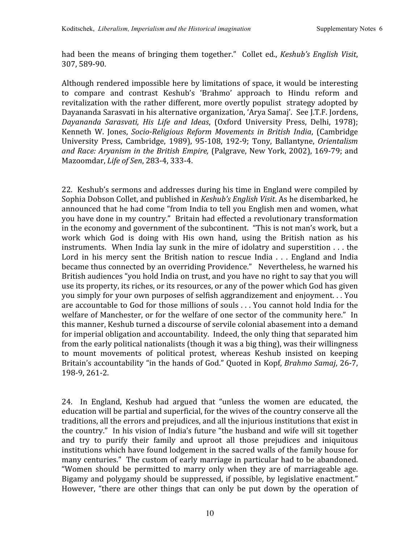had
been
the
means of
bringing
them
together." Collet ed., *Keshub's
English
Visit*, 307,
589‐90.

Although
rendered
impossible
here
by
limitations
of
space,
it
would
be
interesting to compare and contrast Keshub's 'Brahmo' approach to Hindu reform and revitalization with the rather different, more overtly populist strategy adopted by Dayananda Sarasvati in his alternative organization, 'Arya Samaj'. See J.T.F. Jordens, *Dayananda Sarasvati, His Life and Ideas*, (Oxford University Press, Delhi, 1978); Kenneth W. Jones, *SocioReligious Reform Movements in British India*,
(Cambridge University Press, Cambridge, 1989), 95‐108, 192‐9; Tony, Ballantyne, *Orientalism*  and Race: Aryanism in the British Empire, (Palgrave, New York, 2002), 169-79; and Mazoomdar, *Life
of
Sen*,
283‐4,
333‐4.

22. Keshub's sermons and addresses during his time in England were compiled by Sophia Dobson Collet, and published in *Keshub's English Visit*. As he disembarked, he announced
that
he
had
come
"from
India
to
tell
you
English
men
and
women,
what you have done in my country." Britain had effected a revolutionary transformation in the economy and government of the subcontinent. "This is not man's work, but a work which God is doing with His own hand, using the British nation as his instruments. When India lay sunk in the mire of idolatry and superstition  $\dots$  the Lord in his mercy sent the British nation to rescue India . . . England and India became
thus
connected
by
an
overriding
Providence." Nevertheless,
he
warned
his British audiences "you hold India on trust, and you have no right to say that you will use its property, its riches, or its resources, or any of the power which God has given you simply for your own purposes of selfish aggrandizement and enjoyment... You are
accountable
to
God
for
those
millions
of
souls
.
.
.
You
cannot
hold
India
for
the welfare of Manchester, or for the welfare of one sector of the community here." In this
manner,
Keshub
turned
a
discourse
of
servile
colonial
abasement
into
a
demand for
imperial
obligation
and
accountability. Indeed,
the
only
thing
that
separated
him from
the
early
political
nationalists
(though
it
was
a
big
thing),
was
their
willingness to mount movements of political protest, whereas Keshub insisted on keeping Britain's
accountability
"in
the
hands
of
God."
Quoted
in
Kopf, *Brahmo
Samaj*,
26‐7, 198‐9,
261‐2.

24. In England, Keshub had argued that "unless the women are educated, the education will be partial and superficial, for the wives of the country conserve all the traditions,
all
the
errors
and
prejudices,
and
all
the
injurious
institutions
that
exist
in the
country." In
his
vision
of
India's
future
"the
husband
and
wife
will
sit
together and try to purify their family and uproot all those prejudices and iniquitous institutions which have found lodgement in the sacred walls of the family house for many
centuries." The
custom
of
early
marriage
in
particular
had
to
be
abandoned. "Women should be permitted to marry only when they are of marriageable age. Bigamy and polygamy should be suppressed, if possible, by legislative enactment." However, "there are other things that can only be put down by the operation of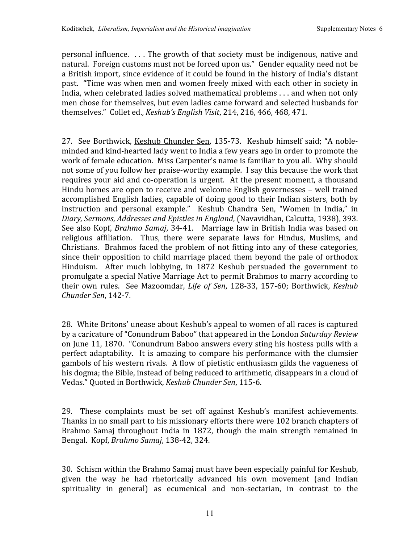personal
influence. .
.
.
The
growth
of
that
society
must
be
indigenous,
native
and natural. Foreign customs must not be forced upon us." Gender equality need not be a British import, since evidence of it could be found in the history of India's distant past. "Time
was
when
men
and
women
freely
mixed
with
each
other
in
society
in India, when celebrated ladies solved mathematical problems . . . and when not only men
chose
for
themselves,
but
even
ladies
came
forward
and
selected
husbands
for themselves."

Collet
ed., *Keshub's
English
Visit*,
214,
216,
466,
468,
471.

27. See
Borthwick,
Keshub
Chunder Sen,
135‐73. Keshub
himself said;
"A
noble‐ minded
and
kind‐hearted
lady
went
to
India
a
few
years
ago
in
order
to
promote
the work of female education. Miss Carpenter's name is familiar to you all. Why should not some of you follow her praise-worthy example. I say this because the work that requires your aid and co-operation is urgent. At the present moment, a thousand Hindu
homes
are
open
to
receive
and
welcome
English
governesses
– well
trained accomplished English
ladies,
capable
of
doing
good
to
their
Indian
sisters,
both
by instruction and personal example." Keshub Chandra Sen, "Women in India," in *Diary,
Sermons,
Addresses
and
Epistles
in
England*,
(Navavidhan,
Calcutta,
1938),
393. See also Kopf, *Brahmo Samaj*, 34-41. Marriage law in British India was based on religious affiliation. Thus, there were separate laws for Hindus, Muslims, and Christians. Brahmos
faced
the
problem
of
not
fitting
into any
of
these categories, since their opposition to child marriage placed them beyond the pale of orthodox Hinduism. After much lobbying, in 1872 Keshub persuaded the government to promulgate
a
special
Native
Marriage
Act
to
permit
Brahmos
to
marry
according
to their own rules. See Mazoomdar, Life of Sen, 128-33, 157-60; Borthwick, Keshub *Chunder
Sen*,
142‐7.

28. White
Britons'
unease
about
Keshub's
appeal
to
women
of
all
races
is
captured by
a
caricature
of
"Conundrum
Baboo"
that
appeared
in
the
London *Saturday
Review* on
June
11,
1870. "Conundrum
Baboo
answers
every
sting
his
hostess
pulls
with
a perfect adaptability. It is amazing to compare his performance with the clumsier gambols
of
his
western
rivals. A
flow
of
pietistic
enthusiasm
gilds
the
vagueness
of his dogma; the Bible, instead of being reduced to arithmetic, disappears in a cloud of Vedas."
Quoted
in
Borthwick, *Keshub
Chunder
Sen*,
115‐6.

29. These complaints must be set off against Keshub's manifest achievements. Thanks in no small part to his missionary efforts there were 102 branch chapters of Brahmo Samaj throughout India in 1872, though the main strength remained in Bengal.

Kopf, *Brahmo
Samaj*,
138‐42,
324.

30. Schism
within
the
Brahmo
Samaj
must
have
been
especially
painful
for
Keshub, given the way he had rhetorically advanced his own movement (and Indian spirituality in general) as ecumenical and non-sectarian, in contrast to the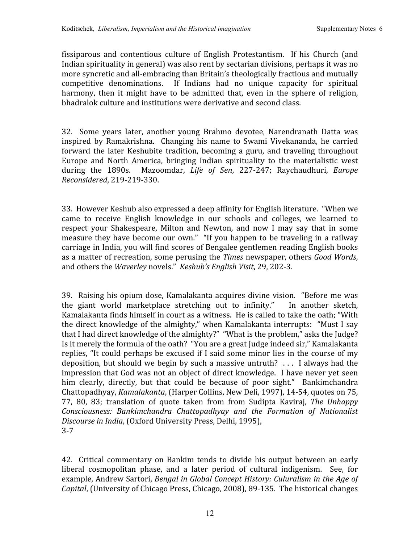fissiparous and contentious culture of English Protestantism. If his Church (and Indian spirituality in general) was also rent by sectarian divisions, perhaps it was no more syncretic and all-embracing than Britain's theologically fractious and mutually competitive denominations. If Indians had no unique capacity for spiritual harmony, then it might have to be admitted that, even in the sphere of religion, bhadralok culture and institutions were derivative and second class.

32. Some years later, another young Brahmo devotee, Narendranath Datta was inspired by Ramakrishna. Changing his name to Swami Vivekananda, he carried forward the later Keshubite tradition, becoming a guru, and traveling throughout Europe and North America, bringing Indian spirituality to the materialistic west during the 1890s. Mazoomdar, *Life of Sen*, 227‐247; Raychaudhuri, *Europe Reconsidered*,
219‐219‐330.

33. However
Keshub
also expressed
a
deep
affinity
for
English
literature. "When
we came to receive English knowledge in our schools and colleges, we learned to respect your Shakespeare, Milton and Newton, and now I may say that in some measure they have become our own." "If you happen to be traveling in a railway carriage
in
India,
you
will
find
scores
of
Bengalee
gentlemen
reading
English
books as
a
matter
of
recreation,
some
perusing
the *Times* newspaper,
others *Good
Words*, and
others
the *Waverley*novels." *Keshub's
English
Visit*,
29,
202‐3.

39. Raising
his
opium
dose,
Kamalakanta acquires
divine
vision. "Before
me
was the giant world marketplace stretching out to infinity." In another sketch, Kamalakanta
finds
himself
in
court
as
a
witness. He
is
called
to
take
the
oath;
"With the direct knowledge of the almighty," when Kamalakanta interrupts: "Must I say that I had direct knowledge of the almighty?" "What is the problem," asks the Judge? Is it merely the formula of the oath? "You are a great Judge indeed sir," Kamalakanta replies, "It could perhaps be excused if I said some minor lies in the course of my deposition,
but
should
we
begin
by
such
a
massive
untruth? .
.
. I
always
had
the impression that God was not an object of direct knowledge. I have never yet seen him clearly, directly, but that could be because of poor sight." Bankimchandra Chattopadhyay, *Kamalakanta*, (Harper Collins, New Deli, 1997), 14-54, quotes on 75, 77, 80, 83; translation of quote taken from from Sudipta Kaviraj, *The Unhappy Consciousness: Bankimchandra Chattopadhyay and the Formation of Nationalist Discourse
in
India*,
(Oxford
University
Press,
Delhi,
1995), 3‐7

42. Critical commentary on Bankim
tends
to divide his output between an early liberal cosmopolitan phase, and a later period of cultural indigenism. See, for example, Andrew Sartori, *Bengal in Global Concept History: Culuralism in the Age of* Capital, (University of Chicago Press, Chicago, 2008), 89-135. The historical changes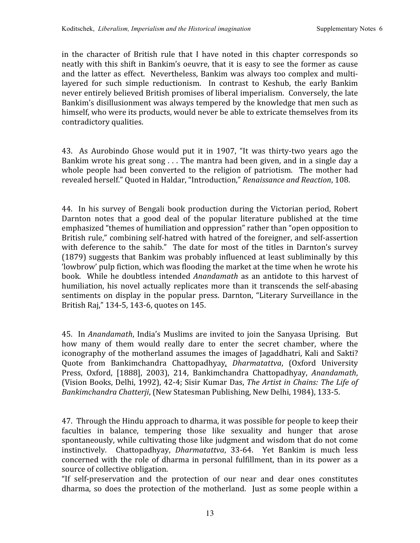in the character of British rule that I have noted in this chapter corresponds so neatly
with
this
shift
in
Bankim's
oeuvre,
that
it
is
easy
to
see
the
former
as
cause and
the
latter
as
effect. Nevertheless,
Bankim
was
always
too
complex
and
multi‐ layered for such simple reductionism. In contrast to Keshub, the early Bankim never entirely believed British promises of liberal imperialism. Conversely, the late Bankim's disillusionment was always tempered by the knowledge that men such as himself, who were its products, would never be able to extricate themselves from its contradictory
qualities.

43. As Aurobindo Ghose would put it in 1907, "It was thirty-two years ago the Bankim wrote his great song . . . The mantra had been given, and in a single day a whole people had been converted to the religion of patriotism. The mother had revealed
herself."
Quoted
in
Haldar,
"Introduction," *Renaissance
and
Reaction*,
108.

44. In
his survey of
Bengali
book
production
during
the
Victorian
period,
Robert Darnton notes that a good deal of the popular literature published at the time emphasized "themes of humiliation and oppression" rather than "open opposition to British rule," combining self-hatred with hatred of the foreigner, and self-assertion with deference to the sahib." The date for most of the titles in Darnton's survey (1879)
suggests
that
Bankim
was
probably
influenced
at
least
subliminally
by
this 'lowbrow'
pulp
fiction,
which
was
flooding
the
market
at
the
time
when
he
wrote
his book. While he doubtless intended *Anandamath* as an antidote to this harvest of humiliation, his novel actually replicates more than it transcends the self-abasing sentiments on display in the popular press. Darnton, "Literary Surveillance in the British
Raj,"
134‐5,
143‐6,
quotes
on
145.

45. In *Anandamath*, India's Muslims are invited to join the Sanyasa Uprising. But how many of them would really dare to enter the secret chamber, where the iconography of the motherland assumes the images of Jagaddhatri, Kali and Sakti? Quote from Bankimchandra Chattopadhyay*, Dharmatattva*, (Oxford University Press, Oxford, [1888], 2003), 214, Bankimchandra Chattopadhyay, *Anandamath*, (Vision
Books,
Delhi,
1992),
42‐4;
Sisir
Kumar
Das, *The
Artist
in
Chains:
The
Life
of*  Bankimchandra Chatterji, (New Statesman Publishing, New Delhi, 1984), 133-5.

47. Through
the
Hindu
approach
to
dharma,
it
was
possible
for
people
to
keep
their faculties in balance, tempering those like sexuality and hunger that arose spontaneously, while cultivating those like judgment and wisdom that do not come instinctively. Chattopadhyay, *Dharmatattva*, 33-64. Yet Bankim is much less concerned with the role of dharma in personal fulfillment, than in its power as a source
of
collective
obligation.

"If self‐preservation and the protection of our near and dear ones constitutes dharma, so does the protection of the motherland. Just as some people within a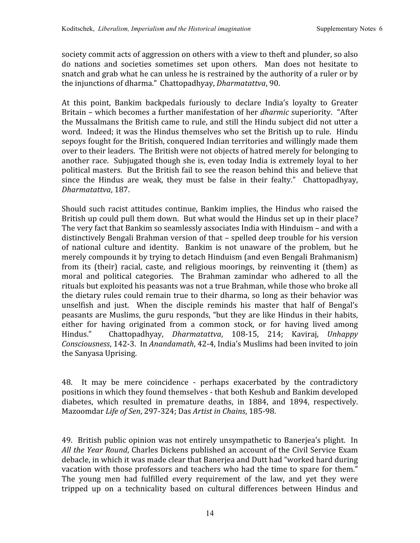society commit acts of aggression on others with a view to theft and plunder, so also do nations and societies sometimes set upon others. Man does not hesitate to snatch and grab what he can unless he is restrained by the authority of a ruler or by the
injunctions
of
dharma."
Chattopadhyay, *Dharmatattva*,
90.

At this point. Bankim backpedals furiously to declare India's loyalty to Greater Britain – which becomes a further manifestation of her *dharmic* superiority. "After the Mussalmans the British came to rule, and still the Hindu subject did not utter a word. Indeed; it was the Hindus themselves who set the British up to rule. Hindu sepoys fought for the British, conquered Indian territories and willingly made them over
to
their
leaders. The
British
were
not
objects
of
hatred
merely
for
belonging
to another race. Subjugated though she is, even today India is extremely loyal to her political
masters. But
the
British
fail
to
see
the
reason
behind
this
and
believe
that since the Hindus are weak, they must be false in their fealty." Chattopadhyay, *Dharmatattva*,
187.

Should such racist attitudes continue,
Bankim implies,
the
Hindus
who raised
the British up could pull them down. But what would the Hindus set up in their place? The very fact that Bankim so seamlessly associates India with Hinduism - and with a distinctively
Bengali
Brahman
version
of
that
– spelled
deep
trouble
for
his
version of national culture and identity. Bankim is not unaware of the problem, but he merely
compounds
it
by
trying
to
detach
Hinduism
(and
even
Bengali
Brahmanism) from its (their) racial, caste, and religious moorings, by reinventing it (them) as moral and political categories. The Brahman zamindar who adhered to all the rituals but exploited his peasants was not a true Brahman, while those who broke all the dietary rules could remain true to their dharma, so long as their behavior was unselfish and just. When the disciple reminds his master that half of Bengal's peasants are Muslims, the guru responds, "but they are like Hindus in their habits, either for having originated from a common stock, or for having lived among Hindus." Chattopadhyay, *Dharmatattva*, 108‐15, 214; Kaviraj, *Unhappy*  Consciousness, 142-3. In Anandamath, 42-4, India's Muslims had been invited to join the
Sanyasa
Uprising.

48. It may be mere coincidence ‐ perhaps exacerbated by the contradictory positions
in
which
they
found
themselves
‐ that
both
Keshub
and
Bankim
developed diabetes, which resulted in premature deaths, in 1884, and 1894, respectively. Mazoomdar *Life
of
Sen*,
297‐324;
Das *Artist
in
Chains*,
185‐98.

49. British
public
opinion
was
not
entirely
unsympathetic
to
Banerjea's
plight. In All the Year Round, Charles Dickens published an account of the Civil Service Exam debacle,
in
which
it
was
made
clear
that
Banerjea
and
Dutt
had
"worked
hard
during vacation with those professors and teachers who had the time to spare for them." The young men had fulfilled every requirement of the law, and yet they were tripped up on a technicality based on cultural differences between Hindus and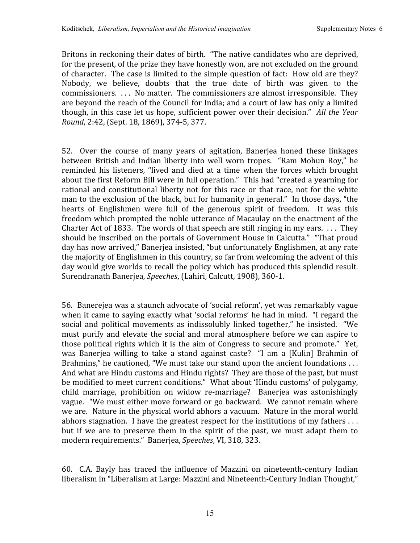Britons in reckoning their dates of birth. "The native candidates who are deprived, for the present, of the prize they have honestly won, are not excluded on the ground of character. The case is limited to the simple question of fact: How old are they? Nobody, we believe, doubts that the true date of birth was given to the commissioners. ... No matter. The commissioners are almost irresponsible. They are
beyond
the
reach
of
the
Council
for
India;
and
a
court
of
law
has
only
a
limited though, in this case let us hope, sufficient power over their decision." All the Year *Round*,
2:42,
(Sept.
18,
1869),
374‐5,
377.

52. Over the course of many years of agitation, Banerjea honed these linkages between British and Indian liberty into well worn tropes. "Ram Mohun Roy," he reminded his listeners, "lived and died at a time when the forces which brought about the first Reform Bill were in full operation." This had "created a yearning for rational and constitutional liberty not for this race or that race, not for the white man to the exclusion of the black, but for humanity in general." In those days, "the hearts of Englishmen were full of the generous spirit of freedom. It was this freedom
which
prompted
the
noble
utterance
of
Macaulay
on
the
enactment
of
the Charter Act of 1833. The words of that speech are still ringing in my ears.  $\dots$  They should be inscribed on the portals of Government House in Calcutta." "That proud day has now arrived," Banerjea insisted, "but unfortunately Englishmen, at any rate the majority of Englishmen in this country, so far from welcoming the advent of this day would give worlds to recall the policy which has produced this splendid result. Surendranath
Banerjea, *Speeches*,
(Lahiri,
Calcutt,
1908),
360‐1.

56. Banerejea
was
a
staunch
advocate
of
'social
reform',
yet
was
remarkably
vague when it came to saying exactly what 'social reforms' he had in mind. "I regard the social and political movements as indissolubly linked together," he insisted. "We must purify and elevate the social and moral atmosphere before we can aspire to those political rights which it is the aim of Congress to secure and promote." Yet, was Banerjea willing to take a stand against caste? "I am a [Kulin] Brahmin of Brahmins," he cautioned, "We must take our stand upon the ancient foundations ... And what are Hindu customs and Hindu rights? They are those of the past, but must be modified to meet current conditions." What about 'Hindu customs' of polygamy, child marriage, prohibition on widow re‐marriage? Banerjea was astonishingly vague. "We
must
either
move
forward
or
go
backward. We
cannot
remain
where we are. Nature in the physical world abhors a vacuum. Nature in the moral world abhors stagnation. I have the greatest respect for the institutions of my fathers  $\dots$ but if we are to preserve them in the spirit of the past, we must adapt them to modern
requirements."

Banerjea, *Speeches*,
VI,
318,
323.

60. C.A. Bayly has traced the influence of Mazzini on nineteenth‐century Indian liberalism in "Liberalism at Large: Mazzini and Nineteenth-Century Indian Thought,"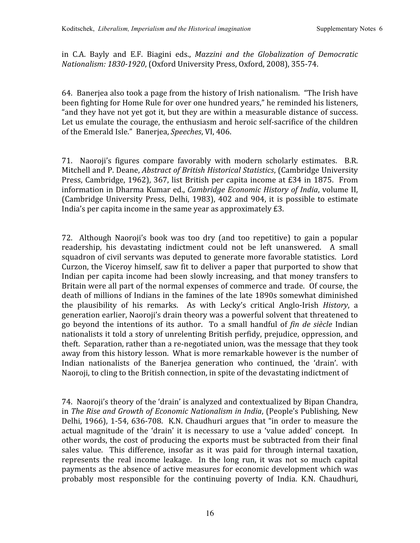in C.A. Bayly and E.F. Biagini eds., *Mazzini and the Globalization of Democratic*  Nationalism: 1830-1920, (Oxford University Press, Oxford, 2008), 355-74.

64. Banerjea
also
took
a
page
from
the
history
of
Irish
nationalism. "The
Irish
have been fighting for Home Rule for over one hundred vears," he reminded his listeners, " and they have not yet got it, but they are within a measurable distance of success. Let us emulate the courage, the enthusiasm and heroic self-sacrifice of the children of
the
Emerald
Isle."

Banerjea, *Speeches*,
VI,
406.

71. Naoroji's figures compare favorably with modern scholarly estimates. B.R. Mitchell
and
P.
Deane, *Abstract
of
British
Historical
Statistics*,
(Cambridge
University Press, Cambridge, 1962), 367, list British per capita income at £34 in 1875. From information in Dharma Kumar ed., *Cambridge Economic History of India*, volume II, (Cambridge University Press, Delhi, 1983), 402 and 904, it is possible to estimate India's per capita income in the same year as approximately £3.

72. Although Naoroji's book was too dry
(and too repetitive) to gain a popular readership, his devastating indictment could not be left unanswered. A small squadron of civil servants was deputed to generate more favorable statistics. Lord Curzon,
the
Viceroy
himself,
saw
fit
to
deliver
a
paper
that
purported
to
show
that Indian per capita income had been slowly increasing, and that money transfers to Britain were all part of the normal expenses of commerce and trade. Of course, the death
of
millions
of
Indians
in
the
famines
of
the
late
1890s
somewhat
diminished the plausibility of his remarks. As with Lecky's critical Anglo‐Irish *History*, a generation
earlier,
Naoroji's
drain
theory
was
a
powerful
solvent
that
threatened
to go beyond the intentions of its author. To a small handful of *fin de siècle* Indian nationalists
it
told
a
story
of
unrelenting
British
perfidy,
prejudice,
oppression,
and theft. Separation, rather than a re-negotiated union, was the message that they took away from this history lesson. What is more remarkable however is the number of Indian nationalists of the Baneriea generation who continued, the 'drain'. with Naoroji, to cling to the British connection, in spite of the devastating indictment of

74. Naoroji's
theory
of
the
'drain'
is
analyzed
and
contextualized
by
Bipan
Chandra, in *The
Rise
and
Growth
of
Economic
Nationalism
in
India*,
(People's
Publishing,
New Delhi, 1966), 1-54, 636-708. K.N. Chaudhuri argues that "in order to measure the actual magnitude of the 'drain' it is necessary to use a 'value added' concept. In other
words,
the
cost
of
producing
the
exports
must
be
subtracted
from
their
final sales value. This difference, insofar as it was paid for through internal taxation, represents the real income leakage. In the long run, it was not so much capital payments
as
the
absence
of
active
measures
for
economic
development
which
was probably most responsible for the continuing poverty of India. K.N. Chaudhuri,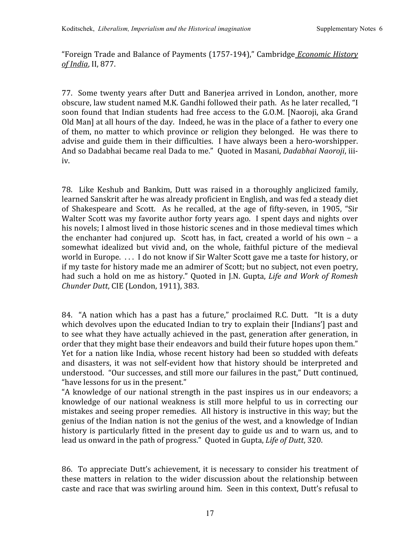"Foreign
Trade
and
Balance
of
Payments
(1757‐194),"
Cambridge *Economic
History of
India*,
II,
877.

77. Some
twenty
years
after
Dutt
and
Banerjea
arrived
in
London,
another,
more obscure,
law
student
named
M.K.
Gandhi
followed
their
path. As
he
later
recalled,
"I soon found that Indian students had free access to the G.O.M. [Naoroji, aka Grand Old Man] at all hours of the day. Indeed, he was in the place of a father to every one of
them,
no
matter
to
which
province
or religion
they
belonged. He
was
there
to advise and guide them in their difficulties. I have always been a hero-worshipper. And so Dadabhai became real Dada to me." Quoted in Masani, Dadabhai Naoroji, iiiiv.

78. Like Keshub and Bankim, Dutt was raised in a thoroughly anglicized family, learned Sanskrit after he was already proficient in English, and was fed a steady diet of Shakespeare and Scott. As he recalled, at the age of fifty‐seven, in 1905,
"Sir Walter Scott was my favorite author forty years ago. I spent days and nights over his novels: I almost lived in those historic scenes and in those medieval times which the enchanter had conjured up. Scott has, in fact, created a world of his own - a somewhat idealized but vivid and, on the whole, faithful picture of the medieval world in Europe. ... I do not know if Sir Walter Scott gave me a taste for history, or if
my
taste
for
history
made
me
an
admirer
of
Scott;
but
no
subject,
not
even
poetry, had such a hold on me as history." Ouoted in J.N. Gupta, *Life and Work of Romesh Chunder
Dutt*,
CIE
(London,
1911),
383.

84. "A nation which has a past has a future," proclaimed R.C. Dutt. "It is a duty which devolves upon the educated Indian to try to explain their [Indians'] past and to see what they have actually achieved in the past, generation after generation, in order that they might base their endeavors and build their future hopes upon them." Yet for a nation like India, whose recent history had been so studded with defeats and disasters, it was not self-evident how that history should be interpreted and understood. "Our successes, and still more our failures in the past," Dutt continued, "have
lessons
for
us
in
the
present."

"A knowledge of our national strength in the past inspires us in our endeavors; a knowledge of our national weakness is still more helpful to us in correcting our mistakes
and
seeing
proper
remedies. All
history
is
instructive
in
this
way;
but
the genius
of
the
Indian
nation
is
not
the
genius
of
the
west,
and
a
knowledge
of
Indian history is particularly fitted in the present day to guide us and to warn us, and to lead us onward in the path of progress." Quoted in Gupta, Life of Dutt, 320.

86. To appreciate Dutt's achievement, it is necessary to consider his treatment of these matters in relation to the wider discussion about the relationship between caste
and
race
that
was
swirling
around
him. Seen
in
this
context,
Dutt's
refusal
to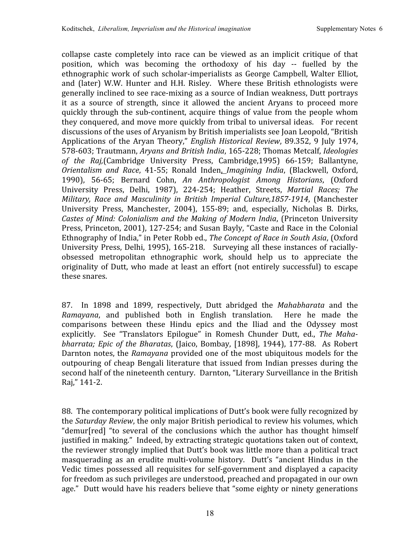collapse caste completely into race can be viewed as an implicit critique of that position, which was becoming the orthodoxy of his day -- fuelled by the ethnographic work of such scholar-imperialists as George Campbell, Walter Elliot, and (later) W.W. Hunter and H.H. Risley. Where these British ethnologists were generally inclined to see race-mixing as a source of Indian weakness, Dutt portrays it as a source of strength, since it allowed the ancient Aryans to proceed more quickly
through
the sub‐continent, acquire
things of value
from
the
people
whom they
conquered,
and
move
more
quickly
from
tribal
to
universal
ideas. For
recent discussions
of
the
uses
of
Aryanism
by
British
imperialists
see
Joan
Leopold,
"British Applications of the Aryan Theory," *English Historical Review*, 89.352, 9 July 1974, 578‐603;
Trautmann, *Aryans
and
British
India*,
165‐228;
Thomas
Metcalf, *Ideologies of the Raj,*(Cambridge University Press, Cambridge,1995) 66‐159; Ballantyne, *Orientalism and Race*, 41‐55; Ronald Inden, *Imagining India*, (Blackwell, Oxford, 1990), 56‐65; Bernard Cohn, *An Anthropologist Among Historians*, (Oxford University Press, Delhi, 1987), 224‐254; Heather, Streets, *Martial Races; The Military, Race and Masculinity in British Imperial Culture,18571914*, (Manchester University Press, Manchester, 2004), 155-89; and, especially, Nicholas B. Dirks, Castes of Mind: Colonialism and the Making of Modern India, (Princeton University Press, Princeton, 2001), 127-254; and Susan Bayly, "Caste and Race in the Colonial Ethnography of India," in Peter Robb ed., The Concept of Race in South Asia, (Oxford University Press, Delhi, 1995), 165-218. Surveying all these instances of raciallyobsessed metropolitan ethnographic work, should help us to appreciate the originality of Dutt, who made at least an effort (not entirely successful) to escape these
snares.

87. In 1898 and 1899, respectively, Dutt abridged the *Mahabharata* and the Ramayana, and published both in English translation. Here he made the comparisons between these Hindu epics and the Iliad and the Odyssey most explicitly. See "Translators Epilogue" in Romesh Chunder Dutt, ed., The Mahabharrata; Epic of the Bharatas, (Jaico, Bombay, [1898], 1944), 177-88. As Robert Darnton notes, the *Ramayana* provided one of the most ubiquitous models for the outpouring
of cheap
Bengali
literature
that
issued
from
Indian
presses
during
the second half of the nineteenth century. Darnton, "Literary Surveillance in the British Raj,"
141‐2.

88. The contemporary political implications of Dutt's book were fully recognized by the *Saturday Review*, the only major British periodical to review his volumes, which "demur[red] "to several of the conclusions which the author has thought himself justified in making." Indeed, by extracting strategic quotations taken out of context, the reviewer strongly implied that Dutt's book was little more than a political tract masquerading as an erudite multi-volume history. Dutt's "ancient Hindus in the Vedic times possessed all requisites for self-government and displayed a capacity for
freedom
as
such
privileges
are
understood,
preached
and
propagated
in
our
own age." Dutt would have his readers believe that "some eighty or ninety generations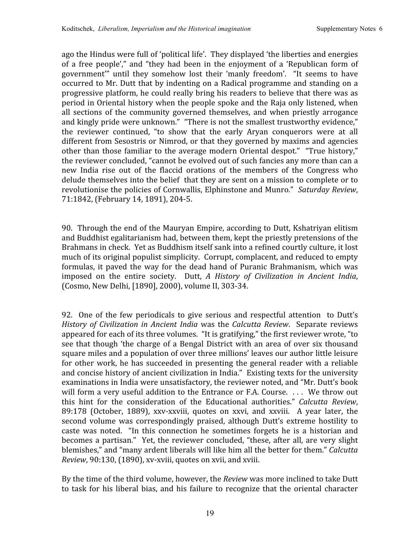ago
the
Hindus
were
full
of
'political
life'. They
displayed
'the
liberties
and
energies of a free people'," and "they had been in the enjoyment of a 'Republican form of government" until they somehow lost their 'manly freedom'. "It seems to have occurred to Mr. Dutt that by indenting on a Radical programme and standing on a progressive
platform,
he
could
really
bring
his
readers
to
believe
that
there
was
as period
in
Oriental
history
when
the
people
spoke
and
the
Raja
only
listened,
when all sections of
the community governed
themselves, and when priestly arrogance and kingly pride were unknown." "There is not the smallest trustworthy evidence," the reviewer continued, "to show that the early Aryan conquerors were at all different from Sesostris or Nimrod, or that they governed by maxims and agencies other than those familiar to the average modern Oriental despot." "True history," the reviewer concluded, "cannot be evolved out of such fancies any more than can a new India rise out of the flaccid orations of the members of the Congress who delude themselves into the belief that they are sent on a mission to complete or to revolutionise the policies of Cornwallis, Elphinstone and Munro." Saturday Review, 71:1842,
(February
14,
1891),
204‐5.

90. Through
the
end
of
the
Mauryan
Empire,
according
to
Dutt,
Kshatriyan
elitism and
Buddhist
egalitarianism
had,
between
them,
kept
the
priestly
pretensions
of
the Brahmans in check. Yet as Buddhism itself sank into a refined courtly culture, it lost much of its original populist simplicity. Corrupt, complacent, and reduced to empty formulas, it paved the way for the dead hand of Puranic Brahmanism, which was imposed on the entire society. Dutt, *A History of Civilization in Ancient India*, (Cosmo,
New
Delhi,
[1890],
2000),
volume
II,
303‐34.

92. One of the few periodicals to give serious and respectful attention to Dutt's History of Civilization in Ancient India was the Calcutta Review. Separate reviews appeared for each of its three volumes. "It is gratifying," the first reviewer wrote, "to see that though 'the charge of a Bengal District with an area of over six thousand square miles and a population of over three millions' leaves our author little leisure for other work, he has succeeded in presenting the general reader with a reliable and concise history of ancient civilization in India." Existing texts for the university examinations
in
India
were
unsatisfactory,
the
reviewer
noted,
and
"Mr.
Dutt's
book will form a very useful addition to the Entrance or F.A. Course. ... We throw out this hint for the consideration of the Educational authorities." *Calcutta Review*, 89:178 (October, 1889), xxv-xxviii, quotes on xxvi, and xxviii. A year later, the second volume was correspondingly praised, although Dutt's extreme hostility to caste was noted. "In this connection he sometimes forgets he is a historian and becomes a partisan." Yet, the reviewer concluded, "these, after all, are very slight blemishes,"
and
"many
ardent
liberals
will
like
him
all
the
better
for
them." *Calcutta*  Review, 90:130, (1890), xv-xviii, quotes on xvii, and xviii.

By the time of the third volume, however, the *Review* was more inclined to take Dutt to task for his liberal bias, and his failure to recognize that the oriental character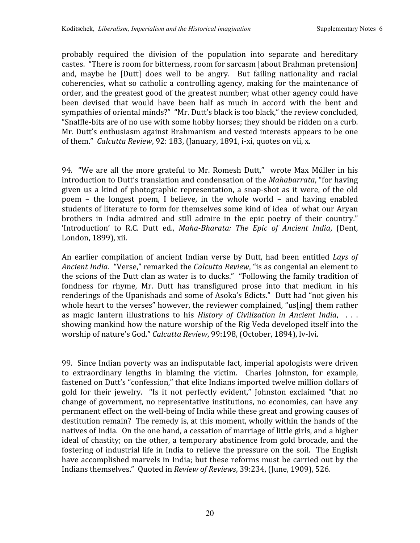probably required the division of the population into separate and hereditary castes. "There
is
room
for
bitterness,
room
for
sarcasm
[about
Brahman
pretension] and, maybe he [Dutt] does well to be angry. But failing nationality and racial coherencies, what so catholic a controlling agency, making for the maintenance of order,
and
the
greatest
good
of
the
greatest
number;
what
other
agency
could
have been devised that would have been half as much in accord with the bent and sympathies of oriental minds?" "Mr. Dutt's black is too black," the review concluded, "Snaffle‐bits
are
of
no
use
with
some
hobby
horses;
they
should
be
ridden
on
a
curb. Mr.
Dutt's
enthusiasm
against
Brahmanism
and
vested
interests
appears
to
be
one of them." Calcutta Review, 92: 183, (January, 1891, *i*-xi, quotes on vii, x.

94. "We are all the more grateful to Mr. Romesh Dutt," wrote Max Müller in his introduction to Dutt's translation and condensation of the *Mahabarrata*, "for having given us a kind of photographic representation, a snap-shot as it were, of the old poem – the longest poem, I believe, in the whole world – and having enabled students of literature to form for themselves some kind of idea of what our Aryan brothers in India admired and still admire in the epic poetry of their country." 'Introduction' to R.C. Dutt ed., Maha-Bharata: The Epic of Ancient India, (Dent, London,
1899),
xii.

An earlier compilation of ancient Indian verse by Dutt, had been entitled Lays of Ancient India. "Verse," remarked the *Calcutta Review*, "is as congenial an element to the scions of the Dutt clan as water is to ducks." "Following the family tradition of fondness for rhyme, Mr. Dutt has transfigured prose into that medium in his renderings of the Upanishads and some of Asoka's Edicts." Dutt had "not given his whole heart to the verses" however, the reviewer complained, "us[ing] them rather as magic lantern illustrations to his *History of Civilization in Ancient India*, . . . showing mankind how the nature worship of the Rig Veda developed itself into the worship
of
nature's
God." *Calcutta
Review*,
99:198,
(October,
1894),
lv‐lvi.

99. Since
Indian
poverty
was
an
indisputable
fact,
imperial
apologists
were
driven to extraordinary lengths in blaming the victim. Charles Johnston, for example, fastened on Dutt's "confession," that elite Indians imported twelve million dollars of gold for their jewelry. "Is it not perfectly evident," Johnston exclaimed "that no change of government, no representative institutions, no economies, can have any permanent effect on the well-being of India while these great and growing causes of destitution remain? The remedy is, at this moment, wholly within the hands of the natives of India. On the one hand, a cessation of marriage of little girls, and a higher ideal of chastity; on the other, a temporary abstinence from gold brocade, and the fostering of industrial life in India to relieve the pressure on the soil. The English have accomplished marvels in India; but these reforms must be carried out by the Indians themselves." Quoted in Review of Reviews, 39:234, (June, 1909), 526.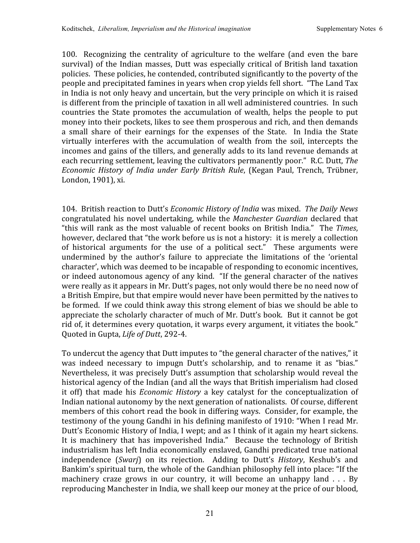100. Recognizing the centrality of agriculture to the welfare
(and even the bare survival) of the Indian masses, Dutt was especially critical of British land taxation policies. These
policies,
he
contended,
contributed
significantly
to
the
poverty
of
the people
and
precipitated
famines
in
years
when
crop
yields
fell
short. "The
Land
Tax in
India
is
not
only
heavy
and
uncertain,
but
the
very
principle
on
which
it
is
raised is
different
from
the
principle
of
taxation
in
all
well
administered
countries. In
such countries the State promotes the accumulation of wealth, helps the people to put money into their pockets, likes to see them prosperous and rich, and then demands a small share of their earnings for the expenses of the State. In India the State virtually interferes with the accumulation of wealth from the soil, intercepts the incomes
and
gains
of
the
tillers,
and
generally
adds
to
its
land
revenue
demands
at each recurring settlement, leaving the cultivators permanently poor." R.C. Dutt, The *Economic
History of India under Early British Rule*,
(Kegan Paul, Trench, Trübner, London,
1901),
xi.

104. British
reaction
to
Dutt's *Economic
History
of
India* was
mixed. *The
Daily
News* congratulated
his
novel
undertaking,
while
the *Manchester
Guardian* declared
that "this
will rank as
the
most valuable
of recent
books
on
British
India." The *Times*, however, declared that "the work before us is not a history: it is merely a collection of historical arguments for the use of a political sect." These arguments were undermined by the author's failure to appreciate the limitations of the 'oriental character',
which
was
deemed
to
be
incapable
of
responding
to
economic
incentives, or
indeed
autonomous
agency
of
any
kind. "If
the
general
character
of
the
natives were really as it appears in Mr. Dutt's pages, not only would there be no need now of a British Empire, but that empire would never have been permitted by the natives to be formed. If we could think away this strong element of bias we should be able to appreciate the scholarly character of much of Mr. Dutt's book. But it cannot be got rid of, it determines every quotation, it warps every argument, it vitiates the book." Quoted
in
Gupta, *Life
of
Dutt*,
292‐4.

To undercut the agency that Dutt imputes to "the general character of the natives," it was indeed necessary to impugn Dutt's scholarship, and to rename it as "bias." Nevertheless, it was precisely Dutt's assumption that scholarship would reveal the historical agency of the Indian (and all the ways that British imperialism had closed it off) that made his *Economic History* a key catalyst for the conceptualization of Indian
national autonomy by
the
next
generation
of
nationalists. Of
course,
different members of this cohort read the book in differing ways. Consider, for example, the testimony of the young Gandhi in his defining manifesto of 1910: "When I read Mr. Dutt's Economic History of India, I wept; and as I think of it again my heart sickens. It is machinery that has impoverished India." Because the technology of British industrialism
has
left
India
economically
enslaved,
Gandhi
predicated
true national independence (*Swarj*) on its rejection. Adding to Dutt's *History*, Keshub's and Bankim's spiritual turn, the whole of the Gandhian philosophy fell into place: "If the machinery craze grows in our country, it will become an unhappy land . . . By reproducing
Manchester
in
India,
we
shall
keep
our
money
at
the
price
of
our
blood,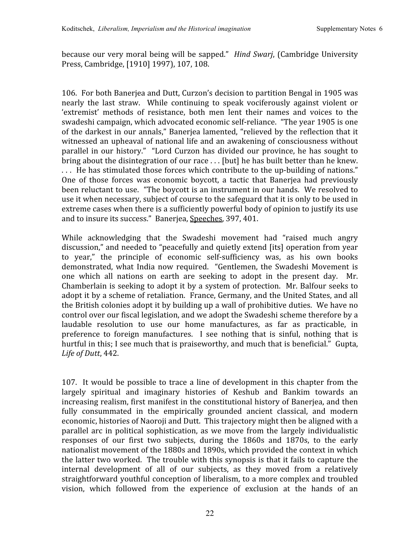because our very moral being will be sapped." *Hind Swarj*, (Cambridge University Press, Cambridge, [1910] 1997), 107, 108.

106. For both Banerjea and Dutt, Curzon's decision to partition Bengal in 1905 was nearly the last straw. While continuing to speak vociferously against violent or 'extremist' methods of resistance, both men lent their names and voices to the swadeshi campaign, which advocated economic self-reliance. "The year 1905 is one of the darkest in our annals," Baneriea lamented, "relieved by the reflection that it witnessed an upheaval of national life and an awakening of consciousness without parallel
in
our
history." "Lord
Curzon
has
divided
our
province,
he
has sought
to bring about the disintegration of our race ... [but] he has built better than he knew. ... He has stimulated those forces which contribute to the up-building of nations." One of those forces was economic boycott, a tactic that Banerjea had previously been reluctant to use. "The boycott is an instrument in our hands. We resolved to use it when necessary, subject of course to the safeguard that it is only to be used in extreme cases when there is a sufficiently powerful body of opinion to justify its use and
to
insure
its
success."

Banerjea,
Speeches,
397,
401.

While acknowledging that the Swadeshi movement had "raised much angry discussion," and needed to "peacefully and quietly extend [its] operation from year to vear," the principle of economic self-sufficiency was, as his own books demonstrated, what India now required. "Gentlemen, the Swadeshi Movement is one which all nations on earth are seeking to adopt in the present day. Mr. Chamberlain is seeking to adopt it by a system of protection. Mr. Balfour seeks to adopt it by a scheme of retaliation. France, Germany, and the United States, and all the
British
colonies
adopt
it
by
building
up
a
wall
of
prohibitive
duties. We
have
no control
over
our
fiscal
legislation,
and
we
adopt
the
Swadeshi
scheme
therefore
by
a laudable resolution to use our home manufactures, as far as practicable, in preference to foreign manufactures. I see nothing that is sinful, nothing that is hurtful in this; I see much that is praiseworthy, and much that is beneficial." Gupta, *Life
of
Dutt*,
442.

107. It would be possible to trace a line of development in this chapter from the largely spiritual and imaginary histories of Keshub and Bankim towards an increasing realism, first manifest in the constitutional history of Baneriea, and then fully consummated in the empirically grounded ancient classical, and modern economic, histories of Naoroji and Dutt. This trajectory might then be aligned with a parallel arc
in
political sophistication, as
we
move
from
the
largely
individualistic responses of our first two subjects, during the 1860s and 1870s, to the early nationalist
movement
of
the
1880s
and
1890s,
which
provided
the
context
in
which the
latter
two
worked. The
trouble
with
this
synopsis
is
that
it
fails
to
capture
the internal development of all of our subjects, as they moved from a relatively straightforward
youthful
conception
of
liberalism,
to
a
more
complex
and
troubled vision, which followed from the experience of exclusion at the hands of an